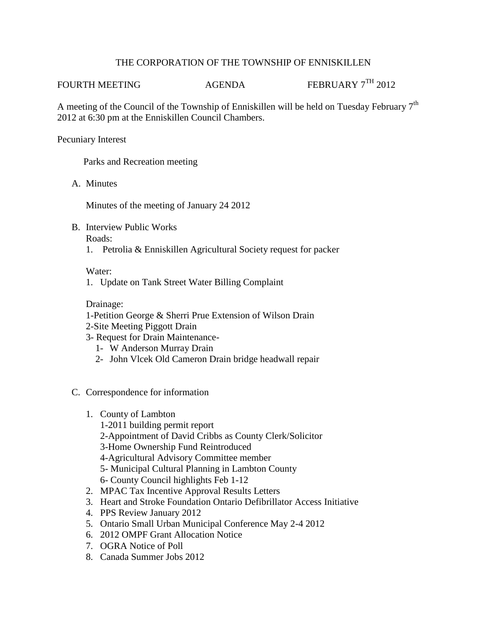# THE CORPORATION OF THE TOWNSHIP OF ENNISKILLEN

FOURTH MEETING AGENDA FEBRUARY 7<sup>TH</sup> 2012

A meeting of the Council of the Township of Enniskillen will be held on Tuesday February  $7<sup>th</sup>$ 2012 at 6:30 pm at the Enniskillen Council Chambers.

### Pecuniary Interest

Parks and Recreation meeting

A. Minutes

Minutes of the meeting of January 24 2012

B. Interview Public Works

Roads:

1. Petrolia & Enniskillen Agricultural Society request for packer

# Water:

1. Update on Tank Street Water Billing Complaint

# Drainage:

- 1-Petition George & Sherri Prue Extension of Wilson Drain
- 2-Site Meeting Piggott Drain
- 3- Request for Drain Maintenance-
	- 1- W Anderson Murray Drain
	- 2- John Vlcek Old Cameron Drain bridge headwall repair
- C. Correspondence for information
	- 1. County of Lambton
		- 1-2011 building permit report
		- 2-Appointment of David Cribbs as County Clerk/Solicitor
		- 3-Home Ownership Fund Reintroduced
		- 4-Agricultural Advisory Committee member
		- 5- Municipal Cultural Planning in Lambton County
		- 6- County Council highlights Feb 1-12
	- 2. MPAC Tax Incentive Approval Results Letters
	- 3. Heart and Stroke Foundation Ontario Defibrillator Access Initiative
	- 4. PPS Review January 2012
	- 5. Ontario Small Urban Municipal Conference May 2-4 2012
	- 6. 2012 OMPF Grant Allocation Notice
	- 7. OGRA Notice of Poll
	- 8. Canada Summer Jobs 2012